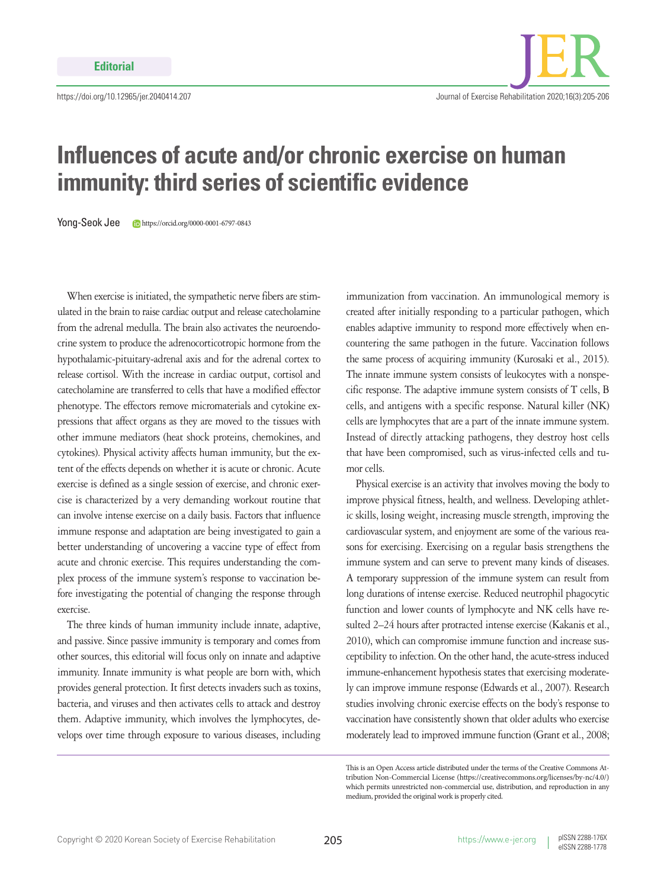

## **Influences of acute and/or chronic exercise on human immunity: third series of scientific evidence**

Yong-Seok Jee https://orcid.org/0000-0001-6797-0843

When exercise is initiated, the sympathetic nerve fibers are stimulated in the brain to raise cardiac output and release catecholamine from the adrenal medulla. The brain also activates the neuroendocrine system to produce the adrenocorticotropic hormone from the hypothalamic-pituitary-adrenal axis and for the adrenal cortex to release cortisol. With the increase in cardiac output, cortisol and catecholamine are transferred to cells that have a modified effector phenotype. The effectors remove micromaterials and cytokine expressions that affect organs as they are moved to the tissues with other immune mediators (heat shock proteins, chemokines, and cytokines). Physical activity affects human immunity, but the extent of the effects depends on whether it is acute or chronic. Acute exercise is defined as a single session of exercise, and chronic exercise is characterized by a very demanding workout routine that can involve intense exercise on a daily basis. Factors that influence immune response and adaptation are being investigated to gain a better understanding of uncovering a vaccine type of effect from acute and chronic exercise. This requires understanding the complex process of the immune system's response to vaccination before investigating the potential of changing the response through exercise.

The three kinds of human immunity include innate, adaptive, and passive. Since passive immunity is temporary and comes from other sources, this editorial will focus only on innate and adaptive immunity. Innate immunity is what people are born with, which provides general protection. It first detects invaders such as toxins, bacteria, and viruses and then activates cells to attack and destroy them. Adaptive immunity, which involves the lymphocytes, develops over time through exposure to various diseases, including

immunization from vaccination. An immunological memory is created after initially responding to a particular pathogen, which enables adaptive immunity to respond more effectively when encountering the same pathogen in the future. Vaccination follows the same process of acquiring immunity (Kurosaki et al., 2015). The innate immune system consists of leukocytes with a nonspecific response. The adaptive immune system consists of T cells, B cells, and antigens with a specific response. Natural killer (NK) cells are lymphocytes that are a part of the innate immune system. Instead of directly attacking pathogens, they destroy host cells that have been compromised, such as virus-infected cells and tumor cells.

Physical exercise is an activity that involves moving the body to improve physical fitness, health, and wellness. Developing athletic skills, losing weight, increasing muscle strength, improving the cardiovascular system, and enjoyment are some of the various reasons for exercising. Exercising on a regular basis strengthens the immune system and can serve to prevent many kinds of diseases. A temporary suppression of the immune system can result from long durations of intense exercise. Reduced neutrophil phagocytic function and lower counts of lymphocyte and NK cells have resulted 2–24 hours after protracted intense exercise (Kakanis et al., 2010), which can compromise immune function and increase susceptibility to infection. On the other hand, the acute-stress induced immune-enhancement hypothesis states that exercising moderately can improve immune response (Edwards et al., 2007). Research studies involving chronic exercise effects on the body's response to vaccination have consistently shown that older adults who exercise moderately lead to improved immune function (Grant et al., 2008;

This is an Open Access article distributed under the terms of the Creative Commons Attribution Non-Commercial License (https://creativecommons.org/licenses/by-nc/4.0/) which permits unrestricted non-commercial use, distribution, and reproduction in any medium, provided the original work is properly cited.